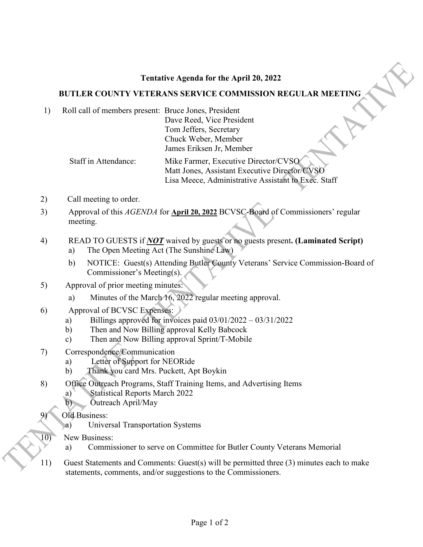## **Tentative Agenda for the April 20, 2022**

## **BUTLER COUNTY VETERANS SERVICE COMMISSION REGULAR MEETING**

1) Roll call of members present: Bruce Jones, President

Dave Reed, Vice President Tom Jeffers, Secretary Chuck Weber, Member James Eriksen Jr, Member

 Staff in Attendance: Mike Farmer, Executive Director/CVSO Matt Jones, Assistant Executive Director/CVSO Lisa Meece, Administrative Assistant to Exec. Staff

- 2) Call meeting to order.
- 3) Approval of this *AGENDA* for **April 20, 2022** BCVSC-Board of Commissioners' regular meeting.
- 4) READ TO GUESTS if *NOT* waived by guests or no guests present**. (Laminated Script)**
	- a) The Open Meeting Act (The Sunshine Law)
	- b) NOTICE: Guest(s) Attending Butler County Veterans' Service Commission-Board of Commissioner's Meeting(s).
- 5) Approval of prior meeting minutes:
	- a) Minutes of the March 16, 2022 regular meeting approval.
- 6) Approval of BCVSC Expenses:
	- a) Billings approved for invoices paid 03/01/2022 03/31/2022
	- b) Then and Now Billing approval Kelly Babcock
	- c) Then and Now Billing approval Sprint/T-Mobile
- 7) Correspondence/Communication
	- a) Letter of Support for NEORide
	- b) Thank you card Mrs. Puckett, Apt Boykin
- 8) Office Outreach Programs, Staff Training Items, and Advertising Items
	- a) Statistical Reports March 2022
	- b) Outreach April/May
	- Old Business:
- a) Universal Transportation Systems<br>10) New Business:
	- New Business:
		- a) Commissioner to serve on Committee for Butler County Veterans Memorial
- 11) Guest Statements and Comments: Guest(s) will be permitted three (3) minutes each to make statements, comments, and/or suggestions to the Commissioners.